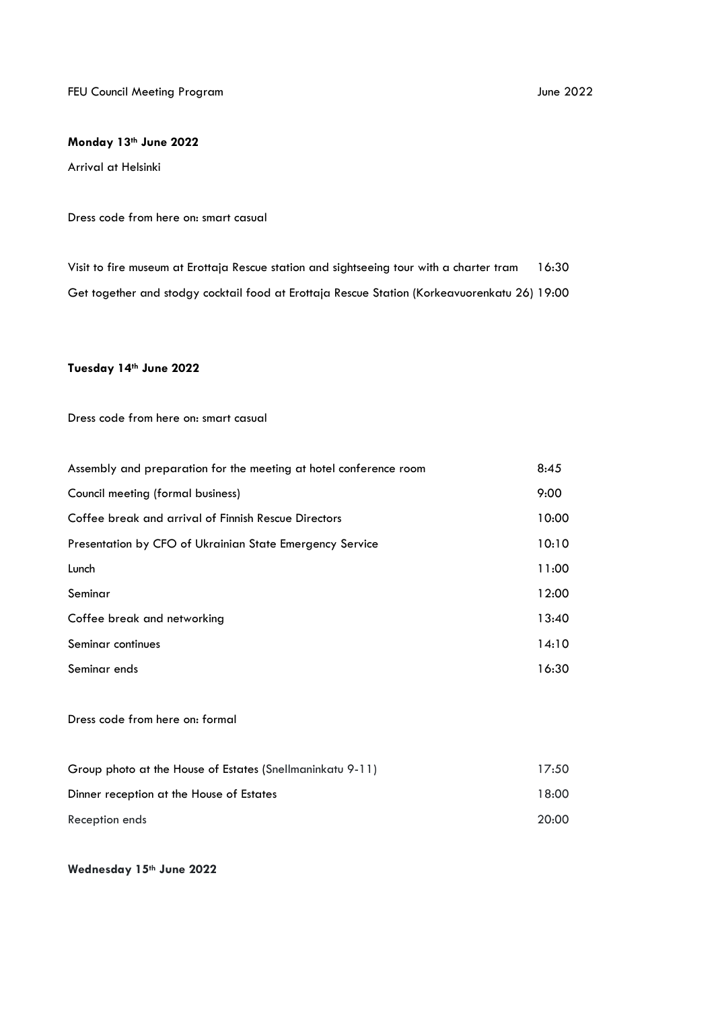FEU Council Meeting Program and the state of the state of the state of the state of the state of the state of the 2022

## **Monday 13th June 2022**

Arrival at Helsinki

## Dress code from here on: smart casual

Visit to fire museum at Erottaja Rescue station and sightseeing tour with a charter tram 16:30 Get together and stodgy cocktail food at Erottaja Rescue Station (Korkeavuorenkatu 26) 19:00

## **Tuesday 14th June 2022**

Dress code from here on: smart casual

| Assembly and preparation for the meeting at hotel conference room | 8:45  |
|-------------------------------------------------------------------|-------|
| Council meeting (formal business)                                 | 9:00  |
| Coffee break and arrival of Finnish Rescue Directors              | 10:00 |
| Presentation by CFO of Ukrainian State Emergency Service          | 10:10 |
| Lunch                                                             | 11:00 |
| Seminar                                                           | 12:00 |
| Coffee break and networking                                       | 13:40 |
| Seminar continues                                                 | 14:10 |
| Seminar ends                                                      | 16:30 |
|                                                                   |       |

Dress code from here on: formal

| Group photo at the House of Estates (Snellmaninkatu 9-11) | 17:50 |
|-----------------------------------------------------------|-------|
| Dinner reception at the House of Estates                  | 18:00 |
| Reception ends                                            | 20:00 |

## **Wednesday 15th June 2022**